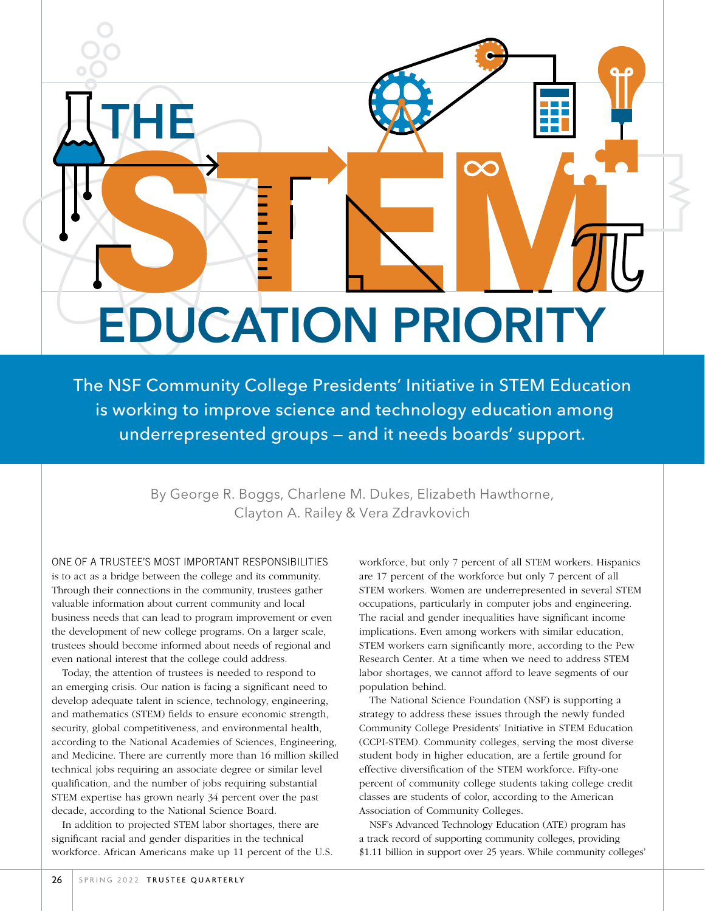

The NSF Community College Presidents' Initiative in STEM Education is working to improve science and technology education among underrepresented groups — and it needs boards' support.

> By George R. Boggs, Charlene M. Dukes, Elizabeth Hawthorne, Clayton A. Railey & Vera Zdravkovich

ONE OF A TRUSTEE'S MOST IMPORTANT RESPONSIBILITIES is to act as a bridge between the college and its community. Through their connections in the community, trustees gather valuable information about current community and local business needs that can lead to program improvement or even the development of new college programs. On a larger scale, trustees should become informed about needs of regional and even national interest that the college could address.

Today, the attention of trustees is needed to respond to an emerging crisis. Our nation is facing a significant need to develop adequate talent in science, technology, engineering, and mathematics (STEM) fields to ensure economic strength, security, global competitiveness, and environmental health, according to the National Academies of Sciences, Engineering, and Medicine. There are currently more than 16 million skilled technical jobs requiring an associate degree or similar level qualification, and the number of jobs requiring substantial STEM expertise has grown nearly 34 percent over the past decade, according to the National Science Board.

In addition to projected STEM labor shortages, there are significant racial and gender disparities in the technical workforce. African Americans make up 11 percent of the U.S.

workforce, but only 7 percent of all STEM workers. Hispanics are 17 percent of the workforce but only 7 percent of all STEM workers. Women are underrepresented in several STEM occupations, particularly in computer jobs and engineering. The racial and gender inequalities have significant income implications. Even among workers with similar education, STEM workers earn significantly more, according to the Pew Research Center. At a time when we need to address STEM labor shortages, we cannot afford to leave segments of our population behind.

The National Science Foundation (NSF) is supporting a strategy to address these issues through the newly funded Community College Presidents' Initiative in STEM Education (CCPI-STEM). Community colleges, serving the most diverse student body in higher education, are a fertile ground for effective diversification of the STEM workforce. Fifty-one percent of community college students taking college credit classes are students of color, according to the American Association of Community Colleges.

NSF's Advanced Technology Education (ATE) program has a track record of supporting community colleges, providing \$1.11 billion in support over 25 years. While community colleges'